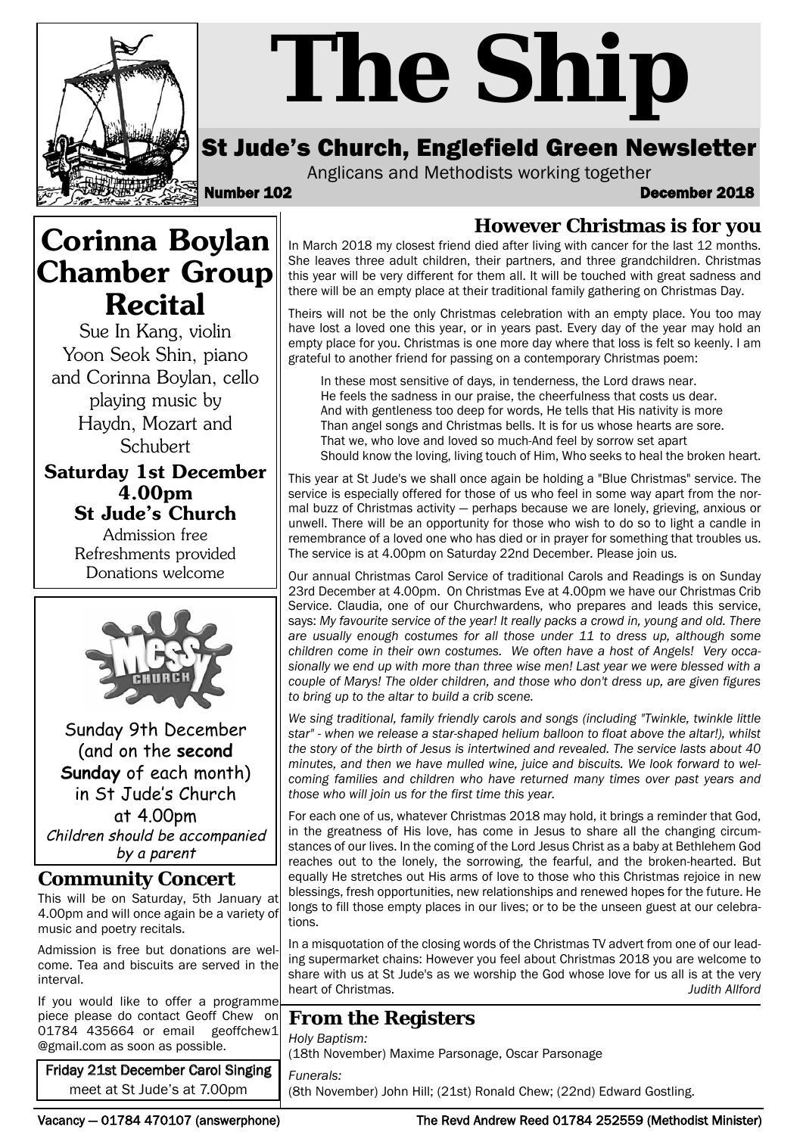

# *The Ship*

# St Jude's Church, Englefield Green Newsletter

Anglicans and Methodists working together

Number 102 December 2018

# **Corinna Boylan Chamber Group Recital**

Sue In Kang, violin Yoon Seok Shin, piano and Corinna Boylan, cello playing music by Haydn, Mozart and **Schubert** 

**Saturday 1st December 4.00pm St Jude's Church**

> Admission free Refreshments provided Donations welcome



Sunday 9th December (and on the **second Sunday** of each month) in St Jude's Church at 4.00pm Children should be accompanied by a parent

#### **Community Concert**

This will be on Saturday, 5th January at 4.00pm and will once again be a variety of music and poetry recitals.

Admission is free but donations are welcome. Tea and biscuits are served in the interval.

If you would like to offer a programme piece please do contact Geoff Chew on<br>01784 435664 or email geoffchew1 01784 435664 or email @gmail.com as soon as possible.

Friday 21st December Carol Singing meet at St Jude's at 7.00pm

#### **However Christmas is for you**

In March 2018 my closest friend died after living with cancer for the last 12 months. She leaves three adult children, their partners, and three grandchildren. Christmas this year will be very different for them all. It will be touched with great sadness and there will be an empty place at their traditional family gathering on Christmas Day.

Theirs will not be the only Christmas celebration with an empty place. You too may have lost a loved one this year, or in years past. Every day of the year may hold an empty place for you. Christmas is one more day where that loss is felt so keenly. I am grateful to another friend for passing on a contemporary Christmas poem:

In these most sensitive of days, in tenderness, the Lord draws near. He feels the sadness in our praise, the cheerfulness that costs us dear. And with gentleness too deep for words, He tells that His nativity is more Than angel songs and Christmas bells. It is for us whose hearts are sore. That we, who love and loved so much-And feel by sorrow set apart Should know the loving, living touch of Him, Who seeks to heal the broken heart.

This year at St Jude's we shall once again be holding a "Blue Christmas" service. The service is especially offered for those of us who feel in some way apart from the normal buzz of Christmas activity — perhaps because we are lonely, grieving, anxious or unwell. There will be an opportunity for those who wish to do so to light a candle in remembrance of a loved one who has died or in prayer for something that troubles us. The service is at 4.00pm on Saturday 22nd December. Please join us.

Our annual Christmas Carol Service of traditional Carols and Readings is on Sunday 23rd December at 4.00pm. On Christmas Eve at 4.00pm we have our Christmas Crib Service. Claudia, one of our Churchwardens, who prepares and leads this service, says: *My favourite service of the year! It really packs a crowd in, young and old. There are usually enough costumes for all those under 11 to dress up, although some children come in their own costumes. We often have a host of Angels! Very occasionally we end up with more than three wise men! Last year we were blessed with a couple of Marys! The older children, and those who don't dress up, are given figures to bring up to the altar to build a crib scene.* 

*We sing traditional, family friendly carols and songs (including "Twinkle, twinkle little star" - when we release a star-shaped helium balloon to float above the altar!), whilst the story of the birth of Jesus is intertwined and revealed. The service lasts about 40 minutes, and then we have mulled wine, juice and biscuits. We look forward to welcoming families and children who have returned many times over past years and those who will join us for the first time this year.*

For each one of us, whatever Christmas 2018 may hold, it brings a reminder that God, in the greatness of His love, has come in Jesus to share all the changing circumstances of our lives. In the coming of the Lord Jesus Christ as a baby at Bethlehem God reaches out to the lonely, the sorrowing, the fearful, and the broken-hearted. But equally He stretches out His arms of love to those who this Christmas rejoice in new blessings, fresh opportunities, new relationships and renewed hopes for the future. He longs to fill those empty places in our lives; or to be the unseen guest at our celebrations.

In a misquotation of the closing words of the Christmas TV advert from one of our leading supermarket chains: However you feel about Christmas 2018 you are welcome to share with us at St Jude's as we worship the God whose love for us all is at the very heart of Christmas. *Judith Allford*

### **From the Registers**

*Holy Baptism:*  (18th November) Maxime Parsonage, Oscar Parsonage

*Funerals:* (8th November) John Hill; (21st) Ronald Chew; (22nd) Edward Gostling.

Vacancy — 01784 470107 (answerphone) The Revd Andrew Reed 01784 252559 (Methodist Minister)